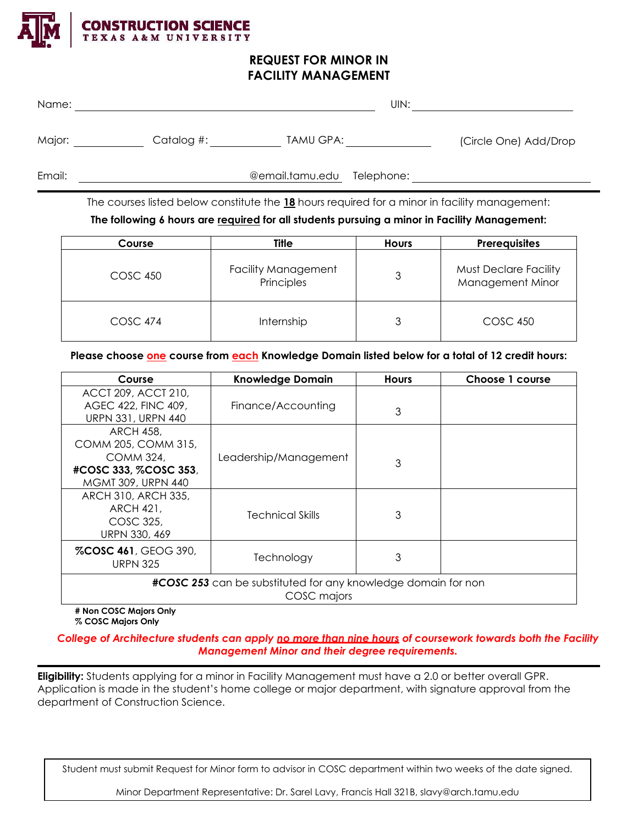

## **REQUEST FOR MINOR IN FACILITY MANAGEMENT**

| Name:  |            |                               | UIN:                  |  |
|--------|------------|-------------------------------|-----------------------|--|
| Major: | Catalog #: | TAMU GPA:                     | (Circle One) Add/Drop |  |
| Email: |            | @email.tamu.edu<br>Telephone: |                       |  |

The courses listed below constitute the **18** hours required for a minor in facility management:

## **The following 6 hours are required for all students pursuing a minor in Facility Management:**

| Course          | Title                                    | <b>Hours</b> | <b>Prerequisites</b>                             |
|-----------------|------------------------------------------|--------------|--------------------------------------------------|
| COSC 450        | <b>Facility Management</b><br>Principles | 3            | <b>Must Declare Facility</b><br>Management Minor |
| <b>COSC 474</b> | Internship                               |              | <b>COSC 450</b>                                  |

**Please choose one course from each Knowledge Domain listed below for a total of 12 credit hours:**

| Course                                                               | <b>Knowledge Domain</b> | <b>Hours</b> | Choose 1 course |  |  |  |
|----------------------------------------------------------------------|-------------------------|--------------|-----------------|--|--|--|
| ACCT 209, ACCT 210,                                                  |                         |              |                 |  |  |  |
| AGEC 422, FINC 409,                                                  | Finance/Accounting      | 3            |                 |  |  |  |
| URPN 331, URPN 440                                                   |                         |              |                 |  |  |  |
| ARCH 458,                                                            |                         |              |                 |  |  |  |
| COMM 205, COMM 315,                                                  |                         |              |                 |  |  |  |
| COMM 324.                                                            | Leadership/Management   | 3            |                 |  |  |  |
| #COSC 333, %COSC 353,                                                |                         |              |                 |  |  |  |
| MGMT 309, URPN 440                                                   |                         |              |                 |  |  |  |
| ARCH 310, ARCH 335,                                                  |                         |              |                 |  |  |  |
| ARCH 421.                                                            | Technical Skills        | 3            |                 |  |  |  |
| COSC 325,                                                            |                         |              |                 |  |  |  |
| <b>URPN 330, 469</b>                                                 |                         |              |                 |  |  |  |
| <b>%COSC 461, GEOG 390,</b><br><b>URPN 325</b>                       | Technology              | 3            |                 |  |  |  |
| <b>#COSC 253</b> can be substituted for any knowledge domain for non |                         |              |                 |  |  |  |
| COSC majors                                                          |                         |              |                 |  |  |  |
|                                                                      |                         |              |                 |  |  |  |

**# Non COSC Majors Only % COSC Majors Only**

*College of Architecture students can apply no more than nine hours of coursework towards both the Facility Management Minor and their degree requirements.*

**Eligibility:** Students applying for a minor in Facility Management must have a 2.0 or better overall GPR. Application is made in the student's home college or major department, with signature approval from the department of Construction Science.

Student must submit Request for Minor form to advisor in COSC department within two weeks of the date signed.

Minor Department Representative: Dr. Sarel Lavy, Francis Hall 321B, slavy@arch.tamu.edu